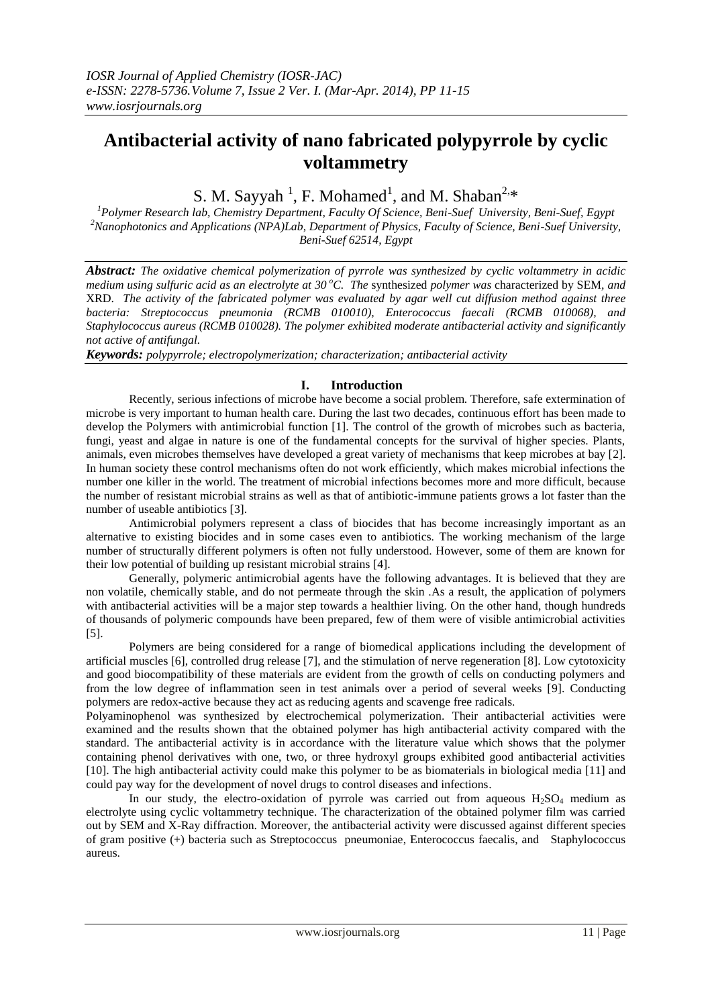# **Antibacterial activity of nano fabricated polypyrrole by cyclic voltammetry**

S. M. Sayyah<sup>1</sup>, F. Mohamed<sup>1</sup>, and M. Shaban<sup>2,\*</sup>

*<sup>1</sup>Polymer Research lab, Chemistry Department, Faculty Of Science, Beni-Suef University, Beni-Suef, Egypt <sup>2</sup>Nanophotonics and Applications (NPA)Lab, Department of Physics, Faculty of Science, Beni-Suef University, Beni-Suef 62514, Egypt*

*Abstract: The oxidative chemical polymerization of pyrrole was synthesized by cyclic voltammetry in acidic medium using sulfuric acid as an electrolyte at 30 <sup>o</sup>C. The* synthesized *polymer was* characterized by SEM*, and*  XRD. *The activity of the fabricated polymer was evaluated by agar well cut diffusion method against three bacteria: Streptococcus pneumonia (RCMB 010010), Enterococcus faecali (RCMB 010068), and Staphylococcus aureus (RCMB 010028). The polymer exhibited moderate antibacterial activity and significantly not active of antifungal.*

*Keywords: polypyrrole; electropolymerization; characterization; antibacterial activity*

# **I. Introduction**

 Recently, serious infections of microbe have become a social problem. Therefore, safe extermination of microbe is very important to human health care. During the last two decades, continuous effort has been made to develop the Polymers with antimicrobial function [1]. The control of the growth of microbes such as bacteria, fungi, yeast and algae in nature is one of the fundamental concepts for the survival of higher species. Plants, animals, even microbes themselves have developed a great variety of mechanisms that keep microbes at bay [2]. In human society these control mechanisms often do not work efficiently, which makes microbial infections the number one killer in the world. The treatment of microbial infections becomes more and more difficult, because the number of resistant microbial strains as well as that of antibiotic-immune patients grows a lot faster than the number of useable antibiotics [3].

Antimicrobial polymers represent a class of biocides that has become increasingly important as an alternative to existing biocides and in some cases even to antibiotics. The working mechanism of the large number of structurally different polymers is often not fully understood. However, some of them are known for their low potential of building up resistant microbial strains [4].

Generally, polymeric antimicrobial agents have the following advantages. It is believed that they are non volatile, chemically stable, and do not permeate through the skin .As a result, the application of polymers with antibacterial activities will be a major step towards a healthier living. On the other hand, though hundreds of thousands of polymeric compounds have been prepared, few of them were of visible antimicrobial activities [5].

Polymers are being considered for a range of biomedical applications including the development of artificial muscles [6], controlled drug release [7], and the stimulation of nerve regeneration [8]. Low cytotoxicity and good biocompatibility of these materials are evident from the growth of cells on conducting polymers and from the low degree of inflammation seen in test animals over a period of several weeks [9]. Conducting polymers are redox-active because they act as reducing agents and scavenge free radicals.

Polyaminophenol was synthesized by electrochemical polymerization. Their antibacterial activities were examined and the results shown that the obtained polymer has high antibacterial activity compared with the standard. The antibacterial activity is in accordance with the literature value which shows that the polymer containing phenol derivatives with one, two, or three hydroxyl groups exhibited good antibacterial activities [10]. The high antibacterial activity could make this polymer to be as biomaterials in biological media [11] and could pay way for the development of novel drugs to control diseases and infections.

In our study, the electro-oxidation of pyrrole was carried out from aqueous  $H_2SO_4$  medium as electrolyte using cyclic voltammetry technique. The characterization of the obtained polymer film was carried out by SEM and X-Ray diffraction. Moreover, the antibacterial activity were discussed against different species of gram positive (+) bacteria such as Streptococcus pneumoniae, Enterococcus faecalis, and Staphylococcus aureus.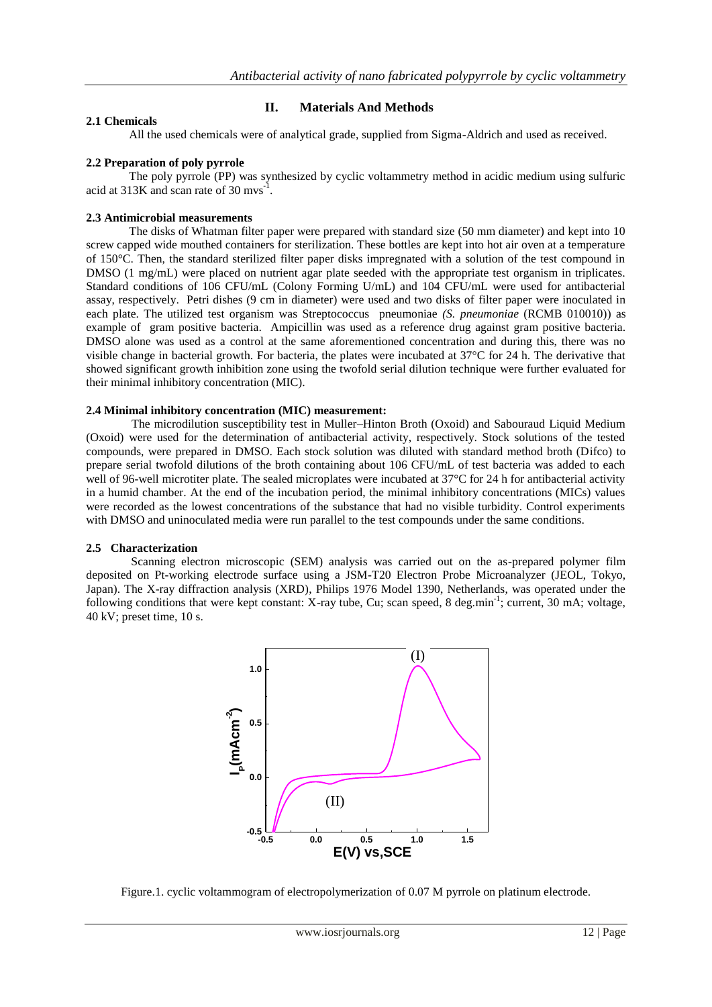# **II. Materials And Methods**

#### **2.1 Chemicals**

All the used chemicals were of analytical grade, supplied from Sigma-Aldrich and used as received.

#### **2.2 Preparation of poly pyrrole**

The poly pyrrole (PP) was synthesized by cyclic voltammetry method in acidic medium using sulfuric acid at 313K and scan rate of 30 mvs<sup>-1</sup>.

#### **2.3 Antimicrobial measurements**

The disks of Whatman filter paper were prepared with standard size (50 mm diameter) and kept into 10 screw capped wide mouthed containers for sterilization. These bottles are kept into hot air oven at a temperature of 150°C. Then, the standard sterilized filter paper disks impregnated with a solution of the test compound in DMSO (1 mg/mL) were placed on nutrient agar plate seeded with the appropriate test organism in triplicates. Standard conditions of 106 CFU/mL (Colony Forming U/mL) and 104 CFU/mL were used for antibacterial assay, respectively. Petri dishes (9 cm in diameter) were used and two disks of filter paper were inoculated in each plate. The utilized test organism was Streptococcus pneumoniae *(S. pneumoniae* (RCMB 010010)) as example of gram positive bacteria. Ampicillin was used as a reference drug against gram positive bacteria. DMSO alone was used as a control at the same aforementioned concentration and during this, there was no visible change in bacterial growth. For bacteria, the plates were incubated at 37°C for 24 h. The derivative that showed significant growth inhibition zone using the twofold serial dilution technique were further evaluated for their minimal inhibitory concentration (MIC).

#### **2.4 Minimal inhibitory concentration (MIC) measurement:**

 The microdilution susceptibility test in Muller–Hinton Broth (Oxoid) and Sabouraud Liquid Medium (Oxoid) were used for the determination of antibacterial activity, respectively. Stock solutions of the tested compounds, were prepared in DMSO. Each stock solution was diluted with standard method broth (Difco) to prepare serial twofold dilutions of the broth containing about 106 CFU/mL of test bacteria was added to each well of 96-well microtiter plate. The sealed microplates were incubated at 37°C for 24 h for antibacterial activity in a humid chamber. At the end of the incubation period, the minimal inhibitory concentrations (MICs) values were recorded as the lowest concentrations of the substance that had no visible turbidity. Control experiments with DMSO and uninoculated media were run parallel to the test compounds under the same conditions.

#### **2.5 Characterization**

 Scanning electron microscopic (SEM) analysis was carried out on the as-prepared polymer film deposited on Pt-working electrode surface using a JSM-T20 Electron Probe Microanalyzer (JEOL, Tokyo, Japan). The X-ray diffraction analysis (XRD), Philips 1976 Model 1390, Netherlands, was operated under the following conditions that were kept constant: X-ray tube, Cu; scan speed, 8 deg.min<sup>-1</sup>; current, 30 mA; voltage, 40 kV; preset time, 10 s.



Figure.1. cyclic voltammogram of electropolymerization of 0.07 M pyrrole on platinum electrode.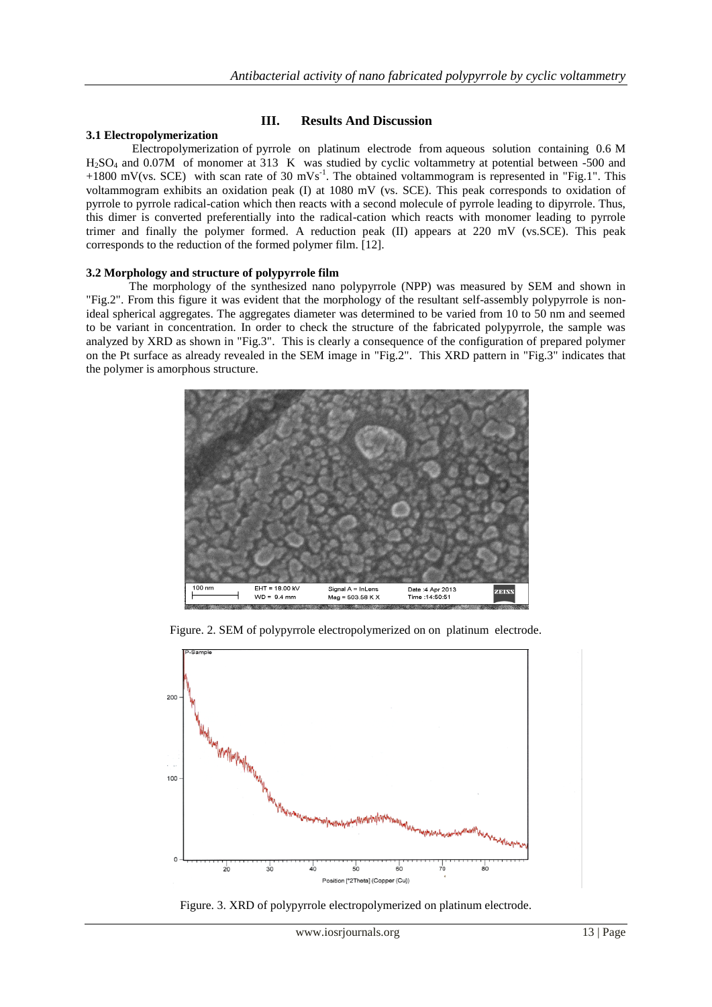## **III. Results And Discussion**

#### **3.1 Electropolymerization**

Electropolymerization of pyrrole on platinum electrode from aqueous solution containing 0.6 M H2SO<sup>4</sup> and 0.07M of monomer at 313 K was studied by cyclic voltammetry at potential between -500 and +1800 mV(vs. SCE) with scan rate of 30 mVs<sup>-1</sup>. The obtained voltammogram is represented in "Fig.1". This voltammogram exhibits an oxidation peak (I) at 1080 mV (vs. SCE). This peak corresponds to oxidation of pyrrole to pyrrole radical-cation which then reacts with a second molecule of pyrrole leading to dipyrrole. Thus, this dimer is converted preferentially into the radical-cation which reacts with monomer leading to pyrrole trimer and finally the polymer formed. A reduction peak (II) appears at 220 mV (vs.SCE). This peak corresponds to the reduction of the formed polymer film. [12].

#### **3.2 Morphology and structure of polypyrrole film**

The morphology of the synthesized nano polypyrrole (NPP) was measured by SEM and shown in "Fig.2". From this figure it was evident that the morphology of the resultant self-assembly polypyrrole is nonideal spherical aggregates. The aggregates diameter was determined to be varied from 10 to 50 nm and seemed to be variant in concentration. In order to check the structure of the fabricated polypyrrole, the sample was analyzed by XRD as shown in "Fig.3". This is clearly a consequence of the configuration of prepared polymer on the Pt surface as already revealed in the SEM image in "Fig.2". This XRD pattern in "Fig.3" indicates that the polymer is amorphous structure.



Figure. 2. SEM of polypyrrole electropolymerized on on platinum electrode.



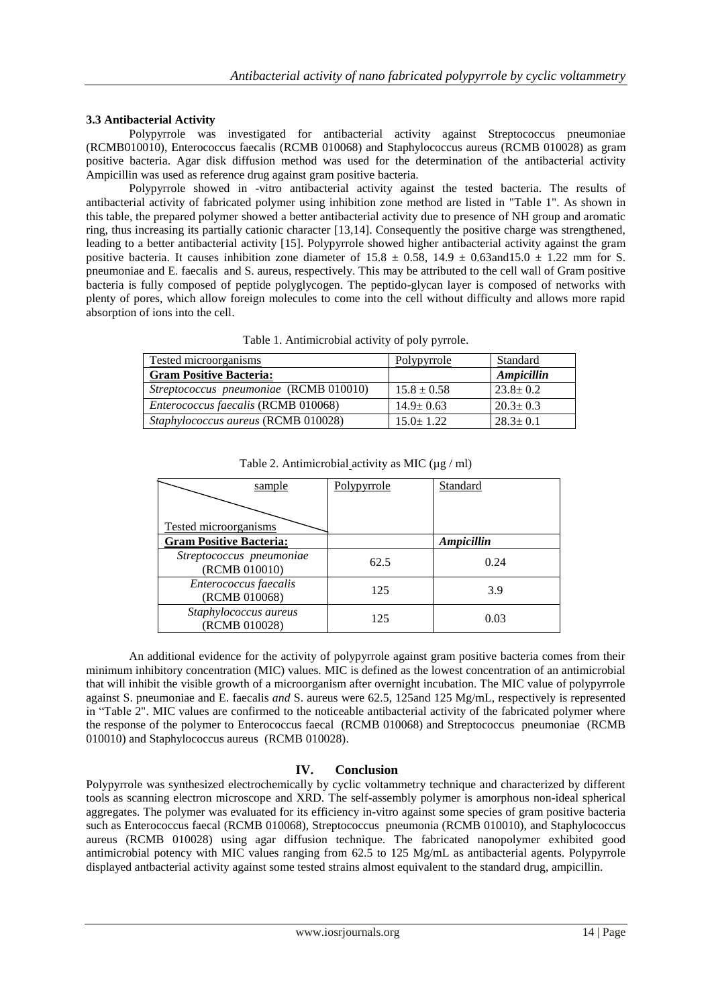### **3.3 Antibacterial Activity**

Polypyrrole was investigated for antibacterial activity against Streptococcus pneumoniae (RCMB010010), Enterococcus faecalis (RCMB 010068) and Staphylococcus aureus (RCMB 010028) as gram positive bacteria. Agar disk diffusion method was used for the determination of the antibacterial activity Ampicillin was used as reference drug against gram positive bacteria.

 Polypyrrole showed in -vitro antibacterial activity against the tested bacteria. The results of antibacterial activity of fabricated polymer using inhibition zone method are listed in "Table 1". As shown in this table, the prepared polymer showed a better antibacterial activity due to presence of NH group and aromatic ring, thus increasing its partially cationic character [13,14]. Consequently the positive charge was strengthened, leading to a better antibacterial activity [15]. Polypyrrole showed higher antibacterial activity against the gram positive bacteria. It causes inhibition zone diameter of  $15.8 \pm 0.58$ ,  $14.9 \pm 0.63$  and  $15.0 \pm 1.22$  mm for S. pneumoniae and E. faecalisand S. aureus, respectively. This may be attributed to the cell wall of Gram positive bacteria is fully composed of peptide polyglycogen. The peptido-glycan layer is composed of networks with plenty of pores, which allow foreign molecules to come into the cell without difficulty and allows more rapid absorption of ions into the cell.

| <b>Tested microorganisms</b>               | Polypyrrole     | Standard       |
|--------------------------------------------|-----------------|----------------|
| <b>Gram Positive Bacteria:</b>             |                 | Ampicillin     |
| Streptococcus pneumoniae (RCMB 010010)     | $15.8 \pm 0.58$ | $23.8 \pm 0.2$ |
| <i>Enterococcus faecalis</i> (RCMB 010068) | $14.9 \pm 0.63$ | $20.3 \pm 0.3$ |
| Staphylococcus aureus (RCMB 010028)        | $15.0 + 1.22$   | $28.3 \pm 0.1$ |

Table 1. Antimicrobial activity of poly pyrrole.

| sample                                    | Polypyrrole | Standard   |
|-------------------------------------------|-------------|------------|
| <b>Tested microorganisms</b>              |             |            |
| <b>Gram Positive Bacteria:</b>            |             | Ampicillin |
| Streptococcus pneumoniae<br>(RCMB 010010) | 62.5        | 0.24       |
| Enterococcus faecalis<br>(RCMB 010068)    | 125         | 3.9        |
| Staphylococcus aureus<br>(RCMB 010028)    | 125         | 0.03       |

Table 2. Antimicrobial activity as MIC ( $\mu$ g / ml)

An additional evidence for the activity of polypyrrole against gram positive bacteria comes from their minimum inhibitory concentration (MIC) values. MIC is defined as the lowest concentration of an antimicrobial that will inhibit the visible growth of a microorganism after overnight incubation. The MIC value of polypyrrole against S. pneumoniae and E. faecalis *and* S. aureus were 62.5, 125and 125 Mg/mL, respectively is represented in "Table 2". MIC values are confirmed to the noticeable antibacterial activity of the fabricated polymer where the response of the polymer to Enterococcus faecal (RCMB 010068) and Streptococcus pneumoniae (RCMB 010010) and Staphylococcus aureus (RCMB 010028).

# **IV. Conclusion**

Polypyrrole was synthesized electrochemically by cyclic voltammetry technique and characterized by different tools as scanning electron microscope and XRD. The self-assembly polymer is amorphous non-ideal spherical aggregates. The polymer was evaluated for its efficiency in-vitro against some species of gram positive bacteria such as Enterococcus faecal (RCMB 010068), Streptococcus pneumonia (RCMB 010010), and Staphylococcus aureus (RCMB 010028) using agar diffusion technique. The fabricated nanopolymer exhibited good antimicrobial potency with MIC values ranging from 62.5 to 125 Mg/mL as antibacterial agents. Polypyrrole displayed antbacterial activity against some tested strains almost equivalent to the standard drug, ampicillin.